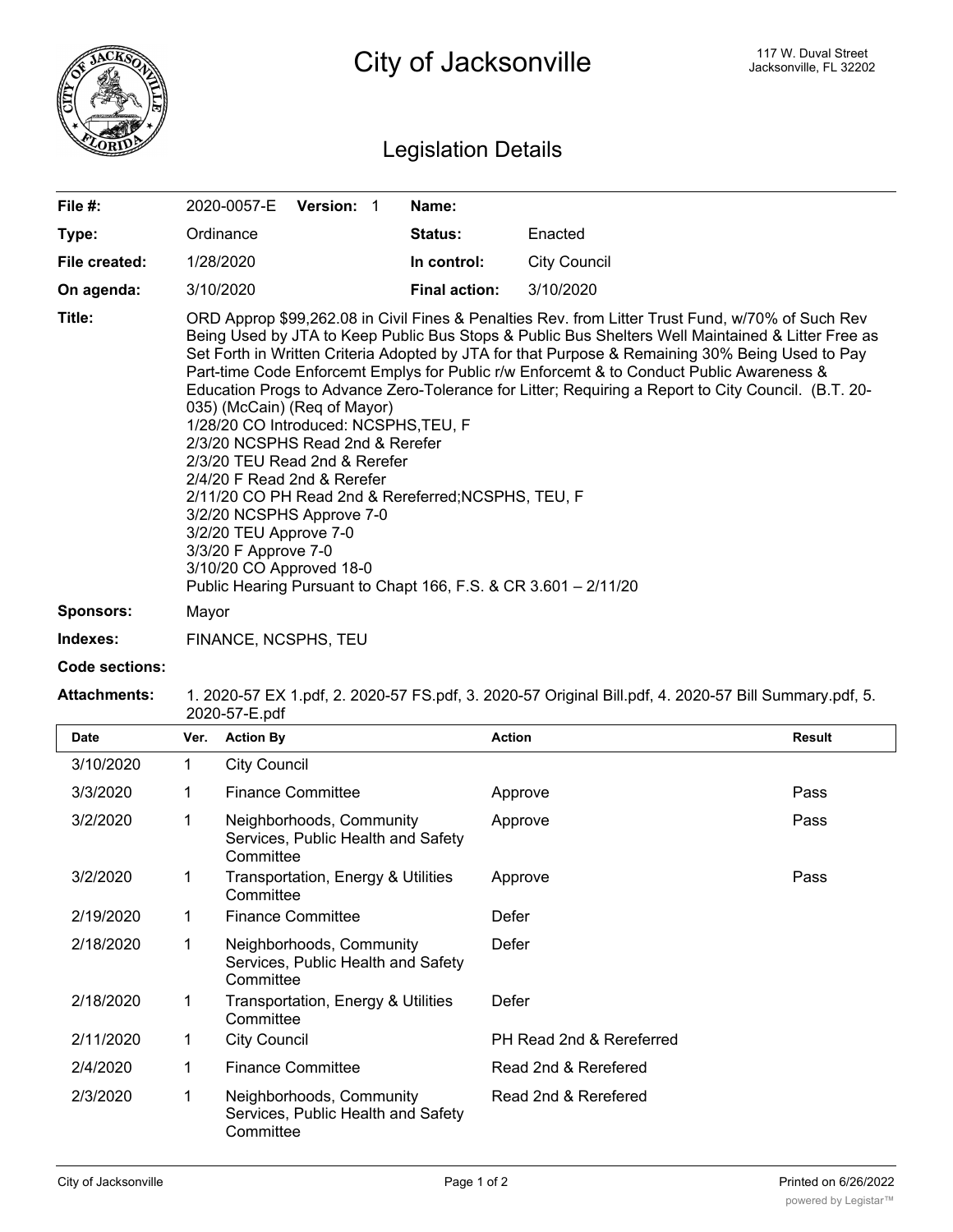

## Legislation Details

| File #:                    | 2020-0057-E                                                                                                                                                                                                                                                                                                                                                                                                                                                                                                                                                                                                                                                                                                                                                                                                                                                                                                                   | Version: 1 |  | Name:                |                     |  |
|----------------------------|-------------------------------------------------------------------------------------------------------------------------------------------------------------------------------------------------------------------------------------------------------------------------------------------------------------------------------------------------------------------------------------------------------------------------------------------------------------------------------------------------------------------------------------------------------------------------------------------------------------------------------------------------------------------------------------------------------------------------------------------------------------------------------------------------------------------------------------------------------------------------------------------------------------------------------|------------|--|----------------------|---------------------|--|
| Type:                      | Ordinance                                                                                                                                                                                                                                                                                                                                                                                                                                                                                                                                                                                                                                                                                                                                                                                                                                                                                                                     |            |  | <b>Status:</b>       | Enacted             |  |
| File created:              | 1/28/2020                                                                                                                                                                                                                                                                                                                                                                                                                                                                                                                                                                                                                                                                                                                                                                                                                                                                                                                     |            |  | In control:          | <b>City Council</b> |  |
| On agenda:                 | 3/10/2020                                                                                                                                                                                                                                                                                                                                                                                                                                                                                                                                                                                                                                                                                                                                                                                                                                                                                                                     |            |  | <b>Final action:</b> | 3/10/2020           |  |
| Title:<br><b>Sponsors:</b> | ORD Approp \$99,262.08 in Civil Fines & Penalties Rev. from Litter Trust Fund, w/70% of Such Rev<br>Being Used by JTA to Keep Public Bus Stops & Public Bus Shelters Well Maintained & Litter Free as<br>Set Forth in Written Criteria Adopted by JTA for that Purpose & Remaining 30% Being Used to Pay<br>Part-time Code Enforcemt Emplys for Public r/w Enforcemt & to Conduct Public Awareness &<br>Education Progs to Advance Zero-Tolerance for Litter; Requiring a Report to City Council. (B.T. 20-<br>035) (McCain) (Req of Mayor)<br>1/28/20 CO Introduced: NCSPHS, TEU, F<br>2/3/20 NCSPHS Read 2nd & Rerefer<br>2/3/20 TEU Read 2nd & Rerefer<br>2/4/20 F Read 2nd & Rerefer<br>2/11/20 CO PH Read 2nd & Rereferred; NCSPHS, TEU, F<br>3/2/20 NCSPHS Approve 7-0<br>3/2/20 TEU Approve 7-0<br>3/3/20 F Approve 7-0<br>3/10/20 CO Approved 18-0<br>Public Hearing Pursuant to Chapt 166, F.S. & CR 3.601 - 2/11/20 |            |  |                      |                     |  |
| Indexes:                   | FINANCE, NCSPHS, TEU                                                                                                                                                                                                                                                                                                                                                                                                                                                                                                                                                                                                                                                                                                                                                                                                                                                                                                          |            |  |                      |                     |  |

**Code sections:**

## **Attachments:** 1. 2020-57 EX 1.pdf, 2. 2020-57 FS.pdf, 3. 2020-57 Original Bill.pdf, 4. 2020-57 Bill Summary.pdf, 5. 2020-57-E.pdf

| <b>Date</b> | Ver. | <b>Action By</b>                                                            | <b>Action</b>            | Result |
|-------------|------|-----------------------------------------------------------------------------|--------------------------|--------|
| 3/10/2020   | 1    | <b>City Council</b>                                                         |                          |        |
| 3/3/2020    | 1    | <b>Finance Committee</b>                                                    | Approve                  | Pass   |
| 3/2/2020    | 1    | Neighborhoods, Community<br>Services, Public Health and Safety<br>Committee | Approve                  | Pass   |
| 3/2/2020    | 1    | Transportation, Energy & Utilities<br>Committee                             | Approve                  | Pass   |
| 2/19/2020   | 1    | <b>Finance Committee</b>                                                    | Defer                    |        |
| 2/18/2020   | 1    | Neighborhoods, Community<br>Services, Public Health and Safety<br>Committee | Defer                    |        |
| 2/18/2020   | 1    | Transportation, Energy & Utilities<br>Committee                             | Defer                    |        |
| 2/11/2020   | 1    | <b>City Council</b>                                                         | PH Read 2nd & Rereferred |        |
| 2/4/2020    | 1    | <b>Finance Committee</b>                                                    | Read 2nd & Rerefered     |        |
| 2/3/2020    | 1    | Neighborhoods, Community<br>Services, Public Health and Safety<br>Committee | Read 2nd & Rerefered     |        |